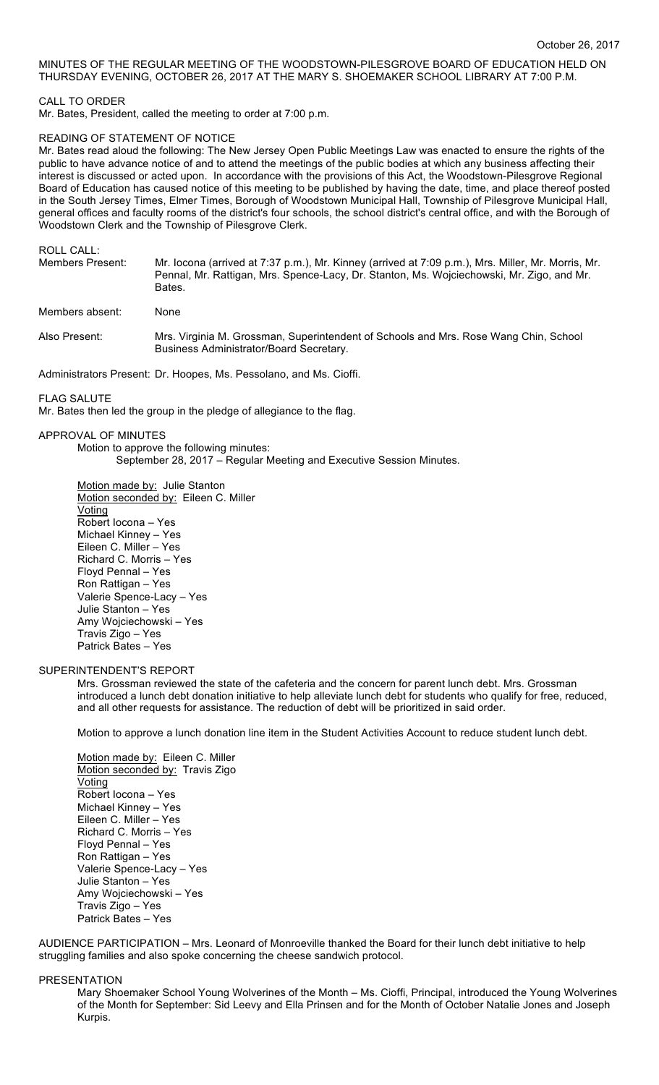# MINUTES OF THE REGULAR MEETING OF THE WOODSTOWN-PILESGROVE BOARD OF EDUCATION HELD ON THURSDAY EVENING, OCTOBER 26, 2017 AT THE MARY S. SHOEMAKER SCHOOL LIBRARY AT 7:00 P.M.

## CALL TO ORDER

Mr. Bates, President, called the meeting to order at 7:00 p.m.

#### READING OF STATEMENT OF NOTICE

Mr. Bates read aloud the following: The New Jersey Open Public Meetings Law was enacted to ensure the rights of the public to have advance notice of and to attend the meetings of the public bodies at which any business affecting their interest is discussed or acted upon. In accordance with the provisions of this Act, the Woodstown-Pilesgrove Regional Board of Education has caused notice of this meeting to be published by having the date, time, and place thereof posted in the South Jersey Times, Elmer Times, Borough of Woodstown Municipal Hall, Township of Pilesgrove Municipal Hall, general offices and faculty rooms of the district's four schools, the school district's central office, and with the Borough of Woodstown Clerk and the Township of Pilesgrove Clerk.

# ROLL CALL:

| <b>Members Present:</b> | Mr. locona (arrived at 7:37 p.m.), Mr. Kinney (arrived at 7:09 p.m.), Mrs. Miller, Mr. Morris, Mr. |
|-------------------------|----------------------------------------------------------------------------------------------------|
|                         | Pennal, Mr. Rattigan, Mrs. Spence-Lacy, Dr. Stanton, Ms. Wojciechowski, Mr. Zigo, and Mr.          |
|                         | Bates.                                                                                             |

## Members absent: None

Also Present: Mrs. Virginia M. Grossman, Superintendent of Schools and Mrs. Rose Wang Chin, School Business Administrator/Board Secretary.

Administrators Present: Dr. Hoopes, Ms. Pessolano, and Ms. Cioffi.

#### FLAG SALUTE

Mr. Bates then led the group in the pledge of allegiance to the flag.

# APPROVAL OF MINUTES

Motion to approve the following minutes: September 28, 2017 – Regular Meeting and Executive Session Minutes.

Motion made by: Julie Stanton Motion seconded by: Eileen C. Miller Voting Robert Iocona – Yes Michael Kinney – Yes Eileen C. Miller – Yes Richard C. Morris – Yes Floyd Pennal – Yes Ron Rattigan – Yes Valerie Spence-Lacy – Yes Julie Stanton – Yes Amy Wojciechowski – Yes Travis Zigo – Yes Patrick Bates – Yes

#### SUPERINTENDENT'S REPORT

Mrs. Grossman reviewed the state of the cafeteria and the concern for parent lunch debt. Mrs. Grossman introduced a lunch debt donation initiative to help alleviate lunch debt for students who qualify for free, reduced, and all other requests for assistance. The reduction of debt will be prioritized in said order.

Motion to approve a lunch donation line item in the Student Activities Account to reduce student lunch debt.

Motion made by: Eileen C. Miller Motion seconded by: Travis Zigo **Voting** Robert Iocona – Yes Michael Kinney – Yes Eileen C. Miller – Yes Richard C. Morris – Yes Floyd Pennal – Yes Ron Rattigan – Yes Valerie Spence-Lacy – Yes Julie Stanton – Yes Amy Wojciechowski – Yes Travis Zigo – Yes Patrick Bates – Yes

AUDIENCE PARTICIPATION – Mrs. Leonard of Monroeville thanked the Board for their lunch debt initiative to help struggling families and also spoke concerning the cheese sandwich protocol.

#### PRESENTATION

Mary Shoemaker School Young Wolverines of the Month – Ms. Cioffi, Principal, introduced the Young Wolverines of the Month for September: Sid Leevy and Ella Prinsen and for the Month of October Natalie Jones and Joseph Kurpis.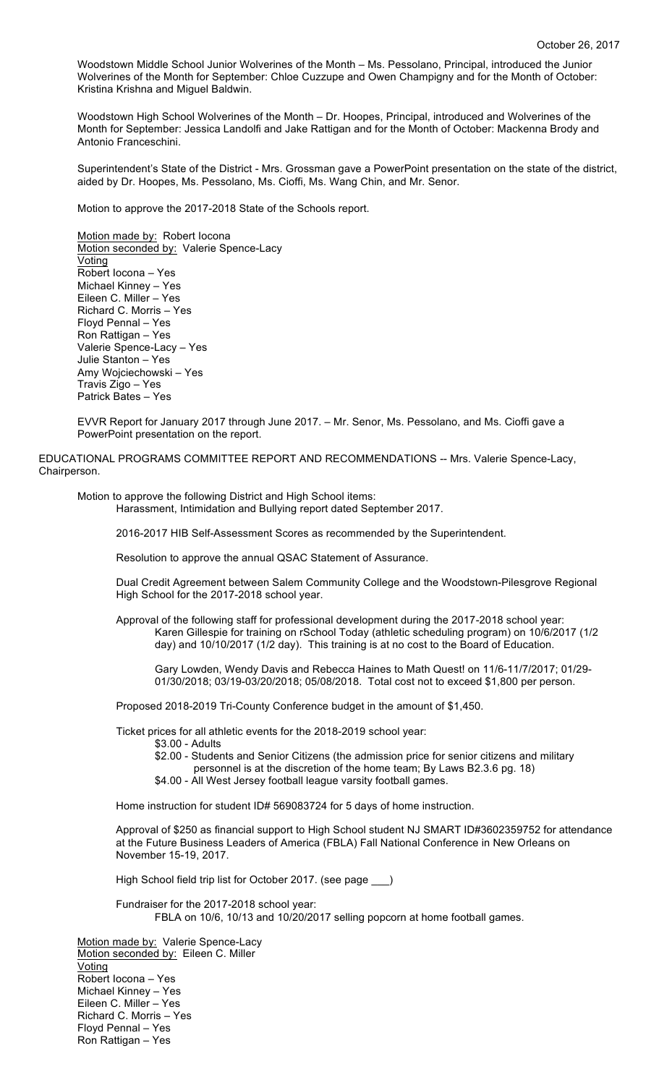Woodstown Middle School Junior Wolverines of the Month – Ms. Pessolano, Principal, introduced the Junior Wolverines of the Month for September: Chloe Cuzzupe and Owen Champigny and for the Month of October: Kristina Krishna and Miguel Baldwin.

Woodstown High School Wolverines of the Month – Dr. Hoopes, Principal, introduced and Wolverines of the Month for September: Jessica Landolfi and Jake Rattigan and for the Month of October: Mackenna Brody and Antonio Franceschini.

Superintendent's State of the District - Mrs. Grossman gave a PowerPoint presentation on the state of the district, aided by Dr. Hoopes, Ms. Pessolano, Ms. Cioffi, Ms. Wang Chin, and Mr. Senor.

Motion to approve the 2017-2018 State of the Schools report.

Motion made by: Robert locona Motion seconded by: Valerie Spence-Lacy **Voting** Robert Iocona – Yes Michael Kinney – Yes Eileen C. Miller – Yes Richard C. Morris – Yes Floyd Pennal – Yes Ron Rattigan – Yes Valerie Spence-Lacy – Yes Julie Stanton – Yes Amy Wojciechowski – Yes Travis Zigo – Yes Patrick Bates – Yes

EVVR Report for January 2017 through June 2017. – Mr. Senor, Ms. Pessolano, and Ms. Cioffi gave a PowerPoint presentation on the report.

EDUCATIONAL PROGRAMS COMMITTEE REPORT AND RECOMMENDATIONS -- Mrs. Valerie Spence-Lacy, Chairperson.

Motion to approve the following District and High School items:

Harassment, Intimidation and Bullying report dated September 2017.

2016-2017 HIB Self-Assessment Scores as recommended by the Superintendent.

Resolution to approve the annual QSAC Statement of Assurance.

Dual Credit Agreement between Salem Community College and the Woodstown-Pilesgrove Regional High School for the 2017-2018 school year.

Approval of the following staff for professional development during the 2017-2018 school year: Karen Gillespie for training on rSchool Today (athletic scheduling program) on 10/6/2017 (1/2 day) and 10/10/2017 (1/2 day). This training is at no cost to the Board of Education.

Gary Lowden, Wendy Davis and Rebecca Haines to Math Quest! on 11/6-11/7/2017; 01/29- 01/30/2018; 03/19-03/20/2018; 05/08/2018. Total cost not to exceed \$1,800 per person.

Proposed 2018-2019 Tri-County Conference budget in the amount of \$1,450.

Ticket prices for all athletic events for the 2018-2019 school year:

\$3.00 - Adults

\$2.00 - Students and Senior Citizens (the admission price for senior citizens and military personnel is at the discretion of the home team; By Laws B2.3.6 pg. 18)

\$4.00 - All West Jersey football league varsity football games.

Home instruction for student ID# 569083724 for 5 days of home instruction.

Approval of \$250 as financial support to High School student NJ SMART ID#3602359752 for attendance at the Future Business Leaders of America (FBLA) Fall National Conference in New Orleans on November 15-19, 2017.

High School field trip list for October 2017. (see page \_\_\_)

Fundraiser for the 2017-2018 school year: FBLA on 10/6, 10/13 and 10/20/2017 selling popcorn at home football games.

Motion made by: Valerie Spence-Lacy Motion seconded by: Eileen C. Miller Voting Robert Iocona – Yes Michael Kinney – Yes Eileen C. Miller – Yes Richard C. Morris – Yes Floyd Pennal – Yes Ron Rattigan – Yes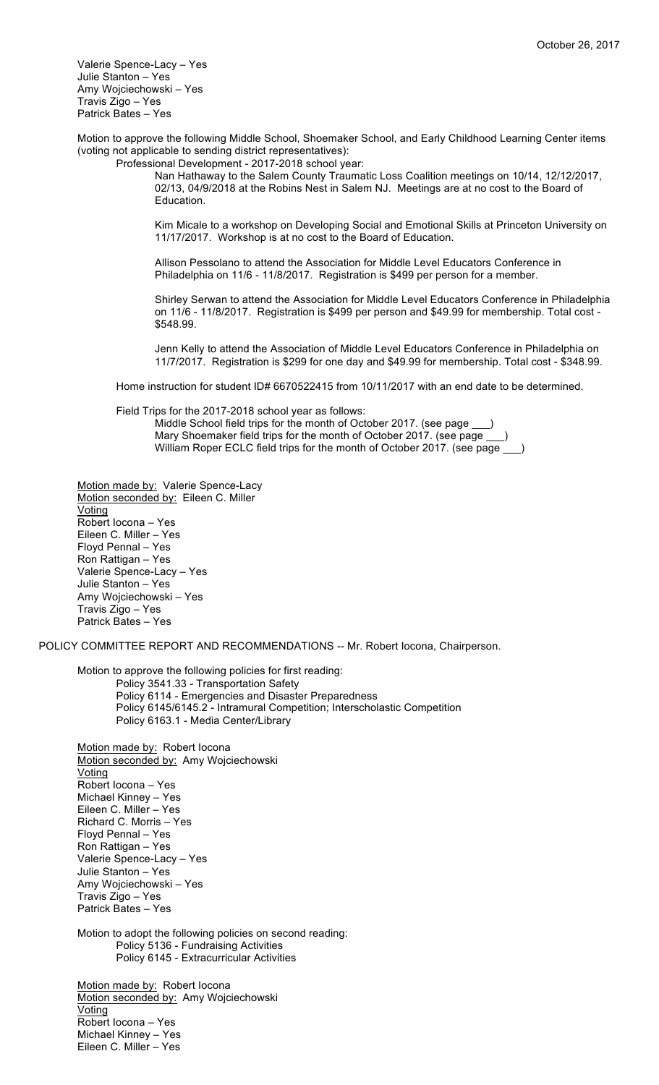Valerie Spence-Lacy – Yes Julie Stanton – Yes Amy Wojciechowski – Yes Travis Zigo – Yes Patrick Bates – Yes

Motion to approve the following Middle School, Shoemaker School, and Early Childhood Learning Center items (voting not applicable to sending district representatives): Professional Development - 2017-2018 school year:

Nan Hathaway to the Salem County Traumatic Loss Coalition meetings on 10/14, 12/12/2017, 02/13, 04/9/2018 at the Robins Nest in Salem NJ. Meetings are at no cost to the Board of Education.

Kim Micale to a workshop on Developing Social and Emotional Skills at Princeton University on 11/17/2017. Workshop is at no cost to the Board of Education.

Allison Pessolano to attend the Association for Middle Level Educators Conference in Philadelphia on 11/6 - 11/8/2017. Registration is \$499 per person for a member.

Shirley Serwan to attend the Association for Middle Level Educators Conference in Philadelphia on 11/6 - 11/8/2017. Registration is \$499 per person and \$49.99 for membership. Total cost - \$548.99.

Jenn Kelly to attend the Association of Middle Level Educators Conference in Philadelphia on 11/7/2017. Registration is \$299 for one day and \$49.99 for membership. Total cost - \$348.99.

Home instruction for student ID# 6670522415 from 10/11/2017 with an end date to be determined.

Field Trips for the 2017-2018 school year as follows:

Middle School field trips for the month of October 2017. (see page Mary Shoemaker field trips for the month of October 2017. (see page William Roper ECLC field trips for the month of October 2017. (see page

Motion made by: Valerie Spence-Lacy Motion seconded by: Eileen C. Miller Voting Robert Iocona – Yes Eileen C. Miller – Yes Floyd Pennal – Yes Ron Rattigan – Yes Valerie Spence-Lacy – Yes Julie Stanton – Yes Amy Wojciechowski – Yes Travis Zigo – Yes Patrick Bates – Yes

POLICY COMMITTEE REPORT AND RECOMMENDATIONS -- Mr. Robert Iocona, Chairperson.

Motion to approve the following policies for first reading: Policy 3541.33 - Transportation Safety Policy 6114 - Emergencies and Disaster Preparedness Policy 6145/6145.2 - Intramural Competition; Interscholastic Competition Policy 6163.1 - Media Center/Library

Motion made by: Robert locona Motion seconded by: Amy Wojciechowski Voting Robert Iocona – Yes Michael Kinney – Yes Eileen C. Miller – Yes Richard C. Morris – Yes Floyd Pennal – Yes Ron Rattigan – Yes Valerie Spence-Lacy – Yes Julie Stanton – Yes Amy Wojciechowski – Yes Travis Zigo – Yes Patrick Bates – Yes Motion to adopt the following policies on second reading:

Policy 5136 - Fundraising Activities Policy 6145 - Extracurricular Activities

Motion made by: Robert locona Motion seconded by: Amy Wojciechowski Voting Robert Iocona – Yes Michael Kinney – Yes Eileen C. Miller – Yes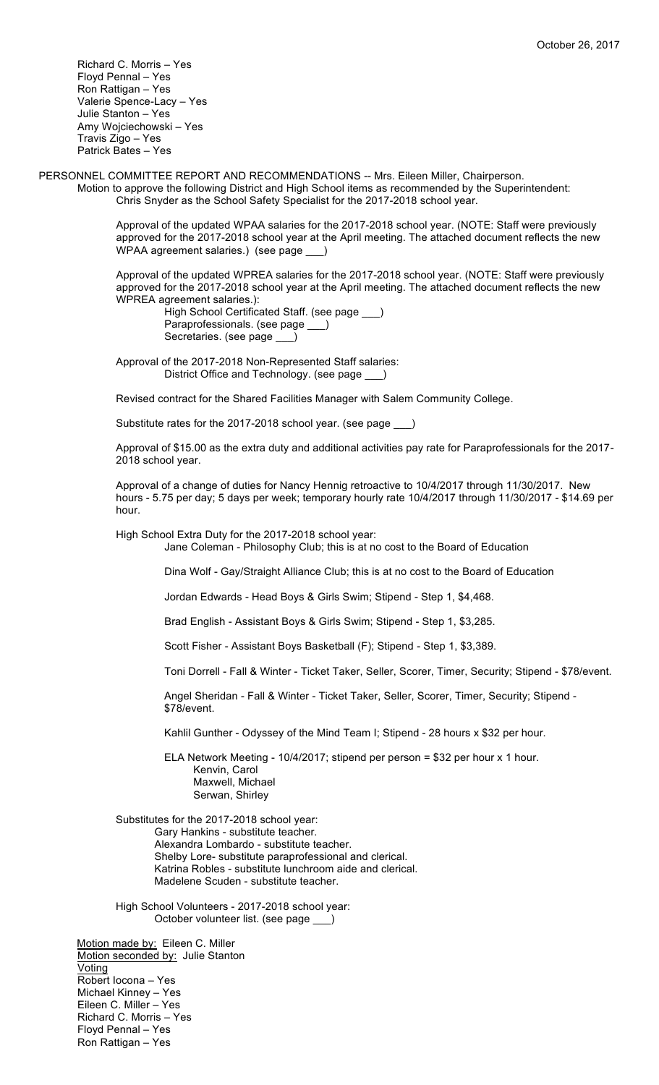Richard C. Morris – Yes Floyd Pennal – Yes Ron Rattigan – Yes Valerie Spence-Lacy – Yes Julie Stanton – Yes Amy Wojciechowski – Yes Travis Zigo – Yes Patrick Bates – Yes

PERSONNEL COMMITTEE REPORT AND RECOMMENDATIONS -- Mrs. Eileen Miller, Chairperson. Motion to approve the following District and High School items as recommended by the Superintendent: Chris Snyder as the School Safety Specialist for the 2017-2018 school year.

> Approval of the updated WPAA salaries for the 2017-2018 school year. (NOTE: Staff were previously approved for the 2017-2018 school year at the April meeting. The attached document reflects the new WPAA agreement salaries.) (see page \_\_\_)

> Approval of the updated WPREA salaries for the 2017-2018 school year. (NOTE: Staff were previously approved for the 2017-2018 school year at the April meeting. The attached document reflects the new WPREA agreement salaries.):

High School Certificated Staff. (see page \_\_\_) Paraprofessionals. (see page \_\_ Secretaries. (see page \_\_

Approval of the 2017-2018 Non-Represented Staff salaries: District Office and Technology. (see page \_\_\_)

Revised contract for the Shared Facilities Manager with Salem Community College.

Substitute rates for the 2017-2018 school year. (see page \_\_\_)

Approval of \$15.00 as the extra duty and additional activities pay rate for Paraprofessionals for the 2017- 2018 school year.

Approval of a change of duties for Nancy Hennig retroactive to 10/4/2017 through 11/30/2017. New hours - 5.75 per day; 5 days per week; temporary hourly rate 10/4/2017 through 11/30/2017 - \$14.69 per hour.

High School Extra Duty for the 2017-2018 school year:

Jane Coleman - Philosophy Club; this is at no cost to the Board of Education

Dina Wolf - Gay/Straight Alliance Club; this is at no cost to the Board of Education

Jordan Edwards - Head Boys & Girls Swim; Stipend - Step 1, \$4,468.

Brad English - Assistant Boys & Girls Swim; Stipend - Step 1, \$3,285.

Scott Fisher - Assistant Boys Basketball (F); Stipend - Step 1, \$3,389.

Toni Dorrell - Fall & Winter - Ticket Taker, Seller, Scorer, Timer, Security; Stipend - \$78/event.

Angel Sheridan - Fall & Winter - Ticket Taker, Seller, Scorer, Timer, Security; Stipend - \$78/event.

Kahlil Gunther - Odyssey of the Mind Team I; Stipend - 28 hours x \$32 per hour.

ELA Network Meeting - 10/4/2017; stipend per person = \$32 per hour x 1 hour. Kenvin, Carol Maxwell, Michael Serwan, Shirley

Substitutes for the 2017-2018 school year: Gary Hankins - substitute teacher. Alexandra Lombardo - substitute teacher. Shelby Lore- substitute paraprofessional and clerical. Katrina Robles - substitute lunchroom aide and clerical. Madelene Scuden - substitute teacher.

High School Volunteers - 2017-2018 school year: October volunteer list. (see page \_\_\_)

Motion made by: Eileen C. Miller Motion seconded by: Julie Stanton Voting Robert Iocona – Yes Michael Kinney – Yes Eileen C. Miller – Yes Richard C. Morris – Yes Floyd Pennal – Yes Ron Rattigan – Yes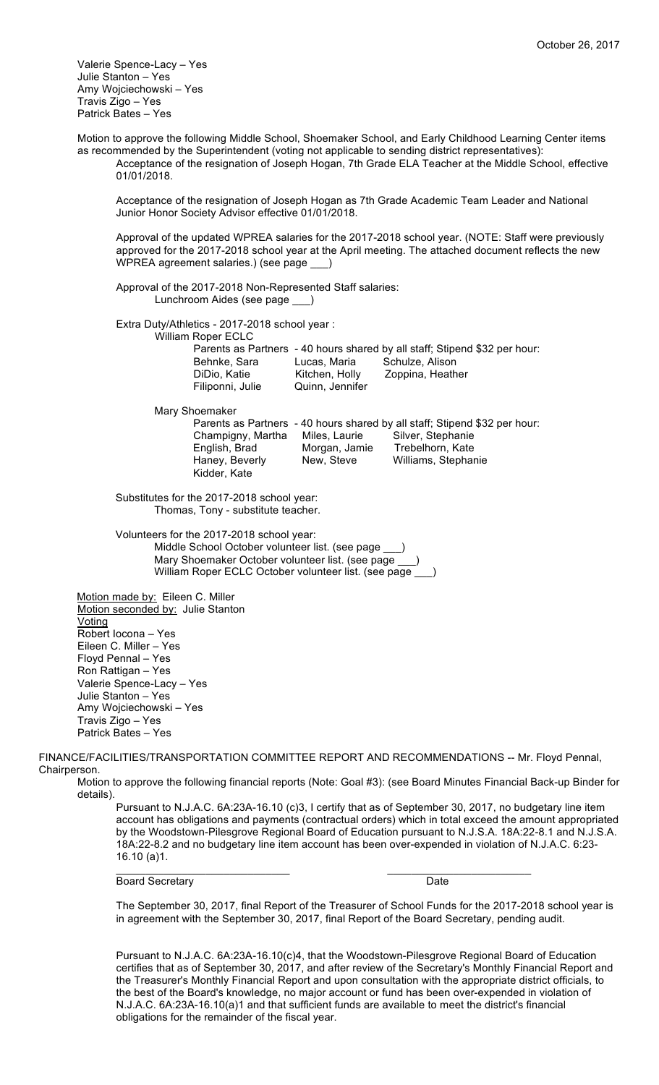Valerie Spence-Lacy – Yes Julie Stanton – Yes Amy Wojciechowski – Yes Travis Zigo – Yes Patrick Bates – Yes

Motion to approve the following Middle School, Shoemaker School, and Early Childhood Learning Center items as recommended by the Superintendent (voting not applicable to sending district representatives): Acceptance of the resignation of Joseph Hogan, 7th Grade ELA Teacher at the Middle School, effective 01/01/2018.

Acceptance of the resignation of Joseph Hogan as 7th Grade Academic Team Leader and National Junior Honor Society Advisor effective 01/01/2018.

Approval of the updated WPREA salaries for the 2017-2018 school year. (NOTE: Staff were previously approved for the 2017-2018 school year at the April meeting. The attached document reflects the new WPREA agreement salaries.) (see page \_\_\_)

Approval of the 2017-2018 Non-Represented Staff salaries: Lunchroom Aides (see page \_\_\_)

Extra Duty/Athletics - 2017-2018 school year :

William Roper ECLC

|                 | Parents as Partners - 40 hours shared by all staff; Stipend \$32 per hour: |
|-----------------|----------------------------------------------------------------------------|
| Lucas, Maria    | Schulze, Alison                                                            |
| Kitchen, Holly  | Zoppina, Heather                                                           |
| Quinn, Jennifer |                                                                            |
|                 |                                                                            |

Mary Shoemaker

Parents as Partners - 40 hours shared by all staff; Stipend \$32 per hour:<br>Champigny, Martha Miles, Laurie Silver, Stephanie Champigny, Martha Miles, Laurie English, Brad Morgan, Jamie Trebelhorn, Kate Haney, Beverly New, Steve Williams, Stephanie Kidder, Kate

Substitutes for the 2017-2018 school year: Thomas, Tony - substitute teacher.

Volunteers for the 2017-2018 school year:

Middle School October volunteer list. (see page \_\_\_) Mary Shoemaker October volunteer list. (see page \_\_\_) William Roper ECLC October volunteer list. (see page \_\_\_)

Motion made by: Eileen C. Miller Motion seconded by: Julie Stanton **Voting** Robert Iocona – Yes Eileen C. Miller – Yes Floyd Pennal – Yes Ron Rattigan – Yes Valerie Spence-Lacy – Yes Julie Stanton – Yes Amy Wojciechowski – Yes Travis Zigo – Yes Patrick Bates – Yes

FINANCE/FACILITIES/TRANSPORTATION COMMITTEE REPORT AND RECOMMENDATIONS -- Mr. Floyd Pennal, Chairperson.

 $\_$  ,  $\_$  ,  $\_$  ,  $\_$  ,  $\_$  ,  $\_$  ,  $\_$  ,  $\_$  ,  $\_$  ,  $\_$  ,  $\_$  ,  $\_$  ,  $\_$  ,  $\_$  ,  $\_$  ,  $\_$  ,  $\_$  ,  $\_$  ,  $\_$ 

Motion to approve the following financial reports (Note: Goal #3): (see Board Minutes Financial Back-up Binder for details).

Pursuant to N.J.A.C. 6A:23A-16.10 (c)3, I certify that as of September 30, 2017, no budgetary line item account has obligations and payments (contractual orders) which in total exceed the amount appropriated by the Woodstown-Pilesgrove Regional Board of Education pursuant to N.J.S.A. 18A:22-8.1 and N.J.S.A. 18A:22-8.2 and no budgetary line item account has been over-expended in violation of N.J.A.C. 6:23- 16.10 (a)1.

Board Secretary Date

The September 30, 2017, final Report of the Treasurer of School Funds for the 2017-2018 school year is in agreement with the September 30, 2017, final Report of the Board Secretary, pending audit.

Pursuant to N.J.A.C. 6A:23A-16.10(c)4, that the Woodstown-Pilesgrove Regional Board of Education certifies that as of September 30, 2017, and after review of the Secretary's Monthly Financial Report and the Treasurer's Monthly Financial Report and upon consultation with the appropriate district officials, to the best of the Board's knowledge, no major account or fund has been over-expended in violation of N.J.A.C. 6A:23A-16.10(a)1 and that sufficient funds are available to meet the district's financial obligations for the remainder of the fiscal year.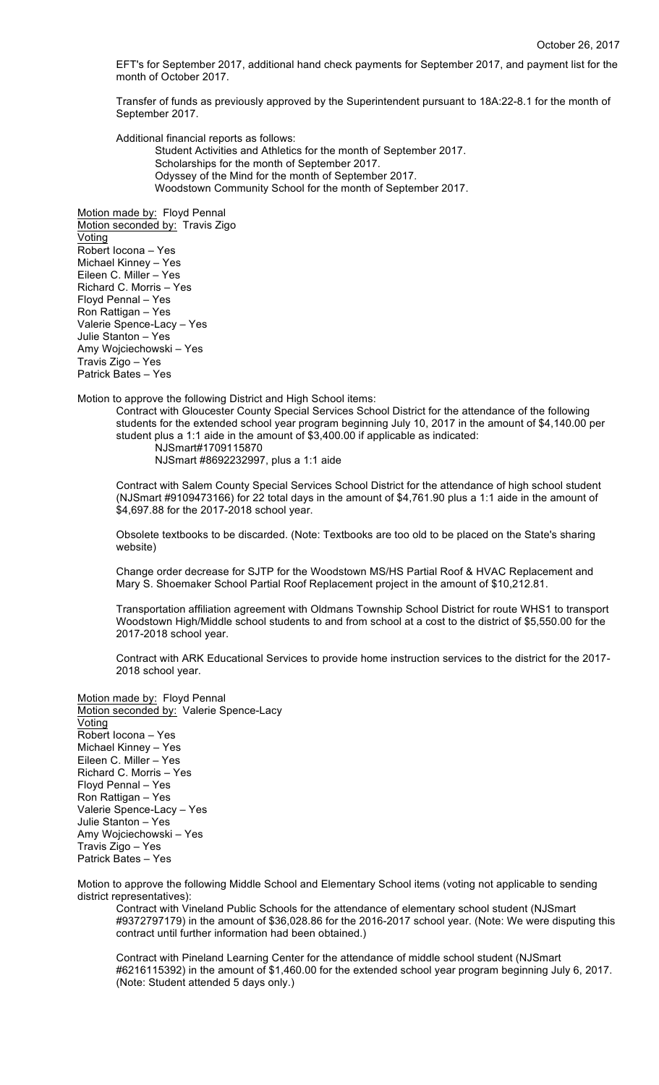EFT's for September 2017, additional hand check payments for September 2017, and payment list for the month of October 2017.

Transfer of funds as previously approved by the Superintendent pursuant to 18A:22-8.1 for the month of September 2017.

Additional financial reports as follows:

Student Activities and Athletics for the month of September 2017. Scholarships for the month of September 2017. Odyssey of the Mind for the month of September 2017. Woodstown Community School for the month of September 2017.

Motion made by: Floyd Pennal Motion seconded by: Travis Zigo Voting Robert Iocona – Yes Michael Kinney – Yes Eileen C. Miller – Yes Richard C. Morris – Yes Floyd Pennal – Yes Ron Rattigan – Yes Valerie Spence-Lacy – Yes Julie Stanton – Yes Amy Wojciechowski – Yes Travis Zigo – Yes Patrick Bates – Yes

Motion to approve the following District and High School items:

Contract with Gloucester County Special Services School District for the attendance of the following students for the extended school year program beginning July 10, 2017 in the amount of \$4,140.00 per student plus a 1:1 aide in the amount of \$3,400.00 if applicable as indicated:

NJSmart#1709115870 NJSmart #8692232997, plus a 1:1 aide

Contract with Salem County Special Services School District for the attendance of high school student (NJSmart #9109473166) for 22 total days in the amount of \$4,761.90 plus a 1:1 aide in the amount of \$4,697.88 for the 2017-2018 school year.

Obsolete textbooks to be discarded. (Note: Textbooks are too old to be placed on the State's sharing website)

Change order decrease for SJTP for the Woodstown MS/HS Partial Roof & HVAC Replacement and Mary S. Shoemaker School Partial Roof Replacement project in the amount of \$10,212.81.

Transportation affiliation agreement with Oldmans Township School District for route WHS1 to transport Woodstown High/Middle school students to and from school at a cost to the district of \$5,550.00 for the 2017-2018 school year.

Contract with ARK Educational Services to provide home instruction services to the district for the 2017- 2018 school year.

Motion made by: Floyd Pennal Motion seconded by: Valerie Spence-Lacy Voting Robert Iocona – Yes Michael Kinney – Yes Eileen C. Miller – Yes Richard C. Morris – Yes Floyd Pennal – Yes Ron Rattigan – Yes Valerie Spence-Lacy – Yes Julie Stanton – Yes Amy Wojciechowski – Yes Travis Zigo – Yes Patrick Bates – Yes

Motion to approve the following Middle School and Elementary School items (voting not applicable to sending district representatives):

Contract with Vineland Public Schools for the attendance of elementary school student (NJSmart #9372797179) in the amount of \$36,028.86 for the 2016-2017 school year. (Note: We were disputing this contract until further information had been obtained.)

Contract with Pineland Learning Center for the attendance of middle school student (NJSmart #6216115392) in the amount of \$1,460.00 for the extended school year program beginning July 6, 2017. (Note: Student attended 5 days only.)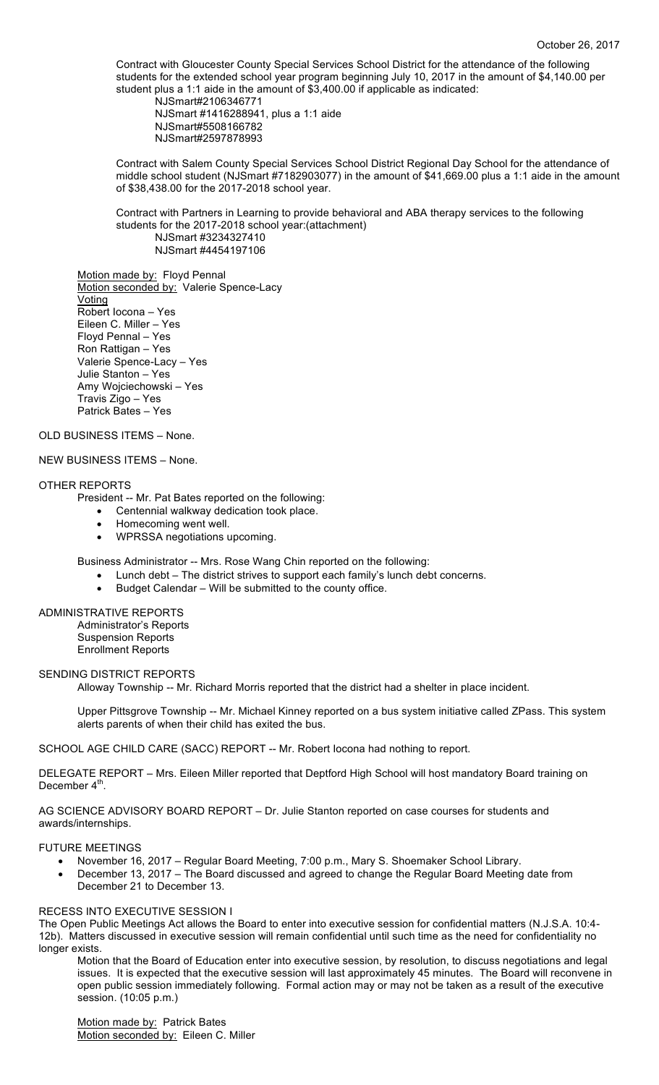Contract with Gloucester County Special Services School District for the attendance of the following students for the extended school year program beginning July 10, 2017 in the amount of \$4,140.00 per student plus a 1:1 aide in the amount of \$3,400.00 if applicable as indicated:

NJSmart#2106346771 NJSmart #1416288941, plus a 1:1 aide NJSmart#5508166782 NJSmart#2597878993

Contract with Salem County Special Services School District Regional Day School for the attendance of middle school student (NJSmart #7182903077) in the amount of \$41,669.00 plus a 1:1 aide in the amount of \$38,438.00 for the 2017-2018 school year.

Contract with Partners in Learning to provide behavioral and ABA therapy services to the following students for the 2017-2018 school year:(attachment) NJSmart #3234327410 NJSmart #4454197106

Motion made by: Floyd Pennal Motion seconded by: Valerie Spence-Lacy Voting Robert Iocona – Yes Eileen C. Miller – Yes Floyd Pennal – Yes Ron Rattigan – Yes Valerie Spence-Lacy – Yes Julie Stanton – Yes Amy Wojciechowski – Yes Travis Zigo – Yes Patrick Bates – Yes

## OLD BUSINESS ITEMS – None.

## NEW BUSINESS ITEMS – None.

#### OTHER REPORTS

President -- Mr. Pat Bates reported on the following:

- Centennial walkway dedication took place.
- Homecoming went well.
- WPRSSA negotiations upcoming.

Business Administrator -- Mrs. Rose Wang Chin reported on the following:

- Lunch debt The district strives to support each family's lunch debt concerns.
- Budget Calendar Will be submitted to the county office.

# ADMINISTRATIVE REPORTS

Administrator's Reports Suspension Reports Enrollment Reports

#### SENDING DISTRICT REPORTS

Alloway Township -- Mr. Richard Morris reported that the district had a shelter in place incident.

Upper Pittsgrove Township -- Mr. Michael Kinney reported on a bus system initiative called ZPass. This system alerts parents of when their child has exited the bus.

SCHOOL AGE CHILD CARE (SACC) REPORT -- Mr. Robert locona had nothing to report.

DELEGATE REPORT – Mrs. Eileen Miller reported that Deptford High School will host mandatory Board training on December  $4^{\text{th}}$ .

AG SCIENCE ADVISORY BOARD REPORT – Dr. Julie Stanton reported on case courses for students and awards/internships.

#### FUTURE MEETINGS

- November 16, 2017 Regular Board Meeting, 7:00 p.m., Mary S. Shoemaker School Library.
- December 13, 2017 The Board discussed and agreed to change the Regular Board Meeting date from December 21 to December 13.

## RECESS INTO EXECUTIVE SESSION I

The Open Public Meetings Act allows the Board to enter into executive session for confidential matters (N.J.S.A. 10:4- 12b). Matters discussed in executive session will remain confidential until such time as the need for confidentiality no longer exists.

Motion that the Board of Education enter into executive session, by resolution, to discuss negotiations and legal issues. It is expected that the executive session will last approximately 45 minutes. The Board will reconvene in open public session immediately following. Formal action may or may not be taken as a result of the executive session. (10:05 p.m.)

Motion made by: Patrick Bates Motion seconded by: Eileen C. Miller